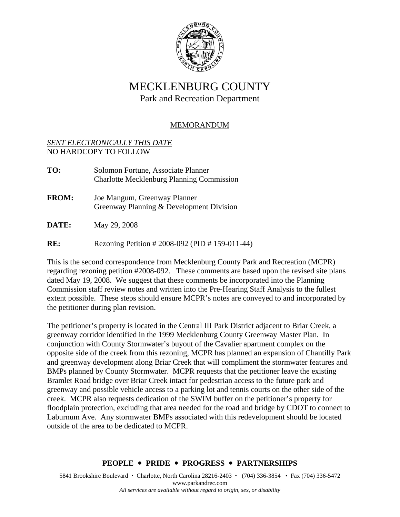

# MECKLENBURG COUNTY

Park and Recreation Department

## MEMORANDUM

#### *SENT ELECTRONICALLY THIS DATE* NO HARDCOPY TO FOLLOW

- **TO:** Solomon Fortune, Associate Planner Charlotte Mecklenburg Planning Commission **FROM:** Joe Mangum, Greenway Planner Greenway Planning & Development Division **DATE:** May 29, 2008
- **RE:** Rezoning Petition # 2008-092 (PID # 159-011-44)

This is the second correspondence from Mecklenburg County Park and Recreation (MCPR) regarding rezoning petition #2008-092. These comments are based upon the revised site plans dated May 19, 2008. We suggest that these comments be incorporated into the Planning Commission staff review notes and written into the Pre-Hearing Staff Analysis to the fullest extent possible. These steps should ensure MCPR's notes are conveyed to and incorporated by the petitioner during plan revision.

The petitioner's property is located in the Central III Park District adjacent to Briar Creek, a greenway corridor identified in the 1999 Mecklenburg County Greenway Master Plan. In conjunction with County Stormwater's buyout of the Cavalier apartment complex on the opposite side of the creek from this rezoning, MCPR has planned an expansion of Chantilly Park and greenway development along Briar Creek that will compliment the stormwater features and BMPs planned by County Stormwater. MCPR requests that the petitioner leave the existing Bramlet Road bridge over Briar Creek intact for pedestrian access to the future park and greenway and possible vehicle access to a parking lot and tennis courts on the other side of the creek. MCPR also requests dedication of the SWIM buffer on the petitioner's property for floodplain protection, excluding that area needed for the road and bridge by CDOT to connect to Laburnum Ave. Any stormwater BMPs associated with this redevelopment should be located outside of the area to be dedicated to MCPR.

### **PEOPLE** y **PRIDE** y **PROGRESS** y **PARTNERSHIPS**

5841 Brookshire Boulevard • Charlotte, North Carolina 28216-2403 • (704) 336-3854 • Fax (704) 336-5472 www.parkandrec.com *All services are available without regard to origin, sex, or disability*